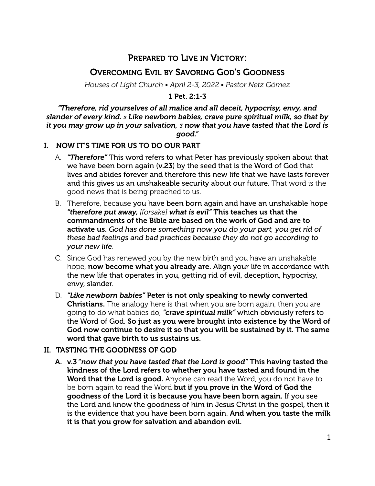# PREPARED TO LIVE IN VICTORY:

## OVERCOMING EVIL BY SAVORING GOD'S GOODNESS

*Houses of Light Church • April 2-3, 2022 • Pastor Netz Gómez*

## 1 Pet. 2:1-3

*"Therefore, rid yourselves of all malice and all deceit, hypocrisy, envy, and slander of every kind. 2 Like newborn babies, crave pure spiritual milk, so that by it you may grow up in your salvation, 3 now that you have tasted that the Lord is good."*

## I. NOW IT'S TIME FOR US TO DO OUR PART

- A. *"Therefore"* This word refers to what Peter has previously spoken about that we have been born again (v.23) by the seed that is the Word of God that lives and abides forever and therefore this new life that we have lasts forever and this gives us an unshakeable security about our future. That word is the good news that is being preached to us.
- B. Therefore, because you have been born again and have an unshakable hope *"therefore put away, [forsake] what is evil"* This teaches us that the commandments of the Bible are based on the work of God and are to activate us. *God has done something now you do your part, you get rid of these bad feelings and bad practices because they do not go according to your new life*.
- C. Since God has renewed you by the new birth and you have an unshakable hope, now become what you already are. Align your life in accordance with the new life that operates in you, getting rid of evil, deception, hypocrisy, envy, slander.
- D. *"Like newborn babies"* Peter is not only speaking to newly converted **Christians.** The analogy here is that when you are born again, then you are going to do what babies do, *"crave spiritual milk"* which obviously refers to the Word of God. So just as you were brought into existence by the Word of God now continue to desire it so that you will be sustained by it. The same word that gave birth to us sustains us.

## II. TASTING THE GOODNESS OF GOD

A. v.3 "*now that you have tasted that the Lord is good"* This having tasted the kindness of the Lord refers to whether you have tasted and found in the Word that the Lord is good. Anyone can read the Word, you do not have to be born again to read the Word but if you prove in the Word of God the goodness of the Lord it is because you have been born again. If you see the Lord and know the goodness of him in Jesus Christ in the gospel, then it is the evidence that you have been born again. And when you taste the milk it is that you grow for salvation and abandon evil.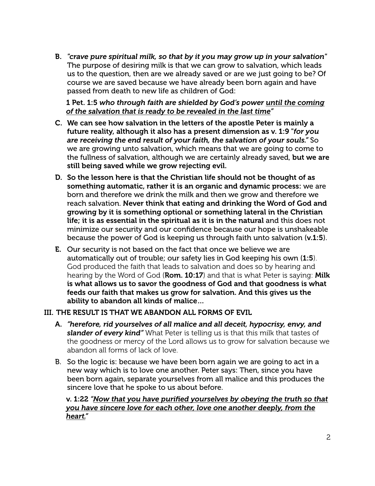B. *"crave pure spiritual milk, so that by it you may grow up in your salvation"*  The purpose of desiring milk is that we can grow to salvation, which leads us to the question, then are we already saved or are we just going to be? Of course we are saved because we have already been born again and have passed from death to new life as children of God:

1 Pet. 1:5 *who through faith are shielded by God's power until the coming of the salvation that is ready to be revealed in the last time"*

- C. We can see how salvation in the letters of the apostle Peter is mainly a future reality, although it also has a present dimension as v. 1:9 "*for you are receiving the end result of your faith, the salvation of your souls."* So we are growing unto salvation, which means that we are going to come to the fullness of salvation, although we are certainly already saved, but we are still being saved while we grow rejecting evil.
- D. So the lesson here is that the Christian life should not be thought of as something automatic, rather it is an organic and dynamic process: we are born and therefore we drink the milk and then we grow and therefore we reach salvation. Never think that eating and drinking the Word of God and growing by it is something optional or something lateral in the Christian life; it is as essential in the spiritual as it is in the natural and this does not minimize our security and our confidence because our hope is unshakeable because the power of God is keeping us through faith unto salvation (v.1:5).
- E. Our security is not based on the fact that once we believe we are automatically out of trouble; our safety lies in God keeping his own (1:5). God produced the faith that leads to salvation and does so by hearing and hearing by the Word of God (Rom. 10:17) and that is what Peter is saying: Milk is what allows us to savor the goodness of God and that goodness is what feeds our faith that makes us grow for salvation. And this gives us the ability to abandon all kinds of malice…

#### III. THE RESULT IS THAT WE ABANDON ALL FORMS OF EVIL

- A. *"herefore, rid yourselves of all malice and all deceit, hypocrisy, envy, and slander of every kind"* What Peter is telling us is that this milk that tastes of the goodness or mercy of the Lord allows us to grow for salvation because we abandon all forms of lack of love.
- B. So the logic is: because we have been born again we are going to act in a new way which is to love one another. Peter says: Then, since you have been born again, separate yourselves from all malice and this produces the sincere love that he spoke to us about before.

## v. 1:22 *"Now that you have purified yourselves by obeying the truth so that you have sincere love for each other, love one another deeply, from the heart."*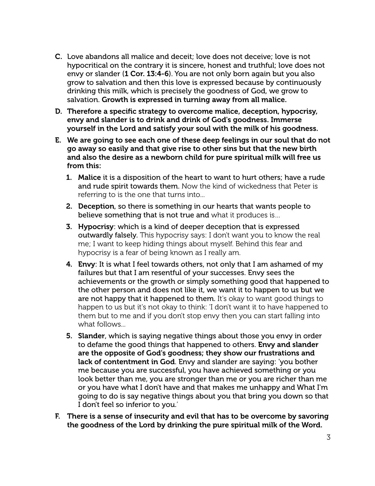- C. Love abandons all malice and deceit; love does not deceive; love is not hypocritical on the contrary it is sincere, honest and truthful; love does not envy or slander (1 Cor. 13:4-6). You are not only born again but you also grow to salvation and then this love is expressed because by continuously drinking this milk, which is precisely the goodness of God, we grow to salvation. Growth is expressed in turning away from all malice.
- D. Therefore a specific strategy to overcome malice, deception, hypocrisy, envy and slander is to drink and drink of God's goodness. Immerse yourself in the Lord and satisfy your soul with the milk of his goodness.
- E. We are going to see each one of these deep feelings in our soul that do not go away so easily and that give rise to other sins but that the new birth and also the desire as a newborn child for pure spiritual milk will free us from this:
	- 1. Malice it is a disposition of the heart to want to hurt others; have a rude and rude spirit towards them. Now the kind of wickedness that Peter is referring to is the one that turns into...
	- 2. Deception, so there is something in our hearts that wants people to believe something that is not true and what it produces is…
	- 3. Hypocrisy: which is a kind of deeper deception that is expressed outwardly falsely. This hypocrisy says: I don't want you to know the real me; I want to keep hiding things about myself. Behind this fear and hypocrisy is a fear of being known as I really am.
	- 4. Envy: It is what I feel towards others, not only that I am ashamed of my failures but that I am resentful of your successes. Envy sees the achievements or the growth or simply something good that happened to the other person and does not like it, we want it to happen to us but we are not happy that it happened to them. It's okay to want good things to happen to us but it's not okay to think: 'I don't want it to have happened to them but to me and if you don't stop envy then you can start falling into what follows...
	- 5. Slander, which is saying negative things about those you envy in order to defame the good things that happened to others. Envy and slander are the opposite of God's goodness; they show our frustrations and lack of contentment in God. Envy and slander are saying: 'you bother me because you are successful, you have achieved something or you look better than me, you are stronger than me or you are richer than me or you have what I don't have and that makes me unhappy and What I'm going to do is say negative things about you that bring you down so that I don't feel so inferior to you.'
- F. There is a sense of insecurity and evil that has to be overcome by savoring the goodness of the Lord by drinking the pure spiritual milk of the Word.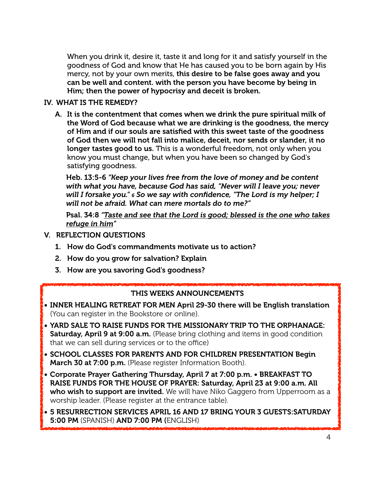When you drink it, desire it, taste it and long for it and satisfy yourself in the goodness of God and know that He has caused you to be born again by His mercy, not by your own merits, this desire to be false goes away and you can be well and content. with the person you have become by being in Him; then the power of hypocrisy and deceit is broken.

## IV. WHAT IS THE REMEDY?

A. It is the contentment that comes when we drink the pure spiritual milk of the Word of God because what we are drinking is the goodness, the mercy of Him and if our souls are satisfied with this sweet taste of the goodness of God then we will not fall into malice, deceit, nor sends or slander, it no longer tastes good to us. This is a wonderful freedom, not only when you know you must change, but when you have been so changed by God's satisfying goodness.

Heb. 13:5-6 *"Keep your lives free from the love of money and be content with what you have, because God has said, "Never will I leave you; never will I forsake you." 6 So we say with confidence, "The Lord is my helper; I will not be afraid. What can mere mortals do to me?"*

Psal. 34:8 *"Taste and see that the Lord is good; blessed is the one who takes refuge in him"*

- V. REFLECTION QUESTIONS
	- 1. How do God's commandments motivate us to action?
	- 2. How do you grow for salvation? Explain
	- 3. How are you savoring God's goodness?

#### THIS WEEKS ANNOUNCEMENTS

- INNER HEALING RETREAT FOR MEN April 29-30 there will be English translation (You can register in the Bookstore or online).
- YARD SALE TO RAISE FUNDS FOR THE MISSIONARY TRIP TO THE ORPHANAGE: Saturday, April 9 at 9:00 a.m. (Please bring clothing and items in good condition that we can sell during services or to the office)
- SCHOOL CLASSES FOR PARENTS AND FOR CHILDREN PRESENTATION Begin March 30 at 7:00 p.m. (Please register Information Booth).
- Corporate Prayer Gathering Thursday, April 7 at 7:00 p.m. BREAKFAST TO RAISE FUNDS FOR THE HOUSE OF PRAYER: Saturday, April 23 at 9:00 a.m. All who wish to support are invited. We will have Niko Gaggero from Upperroom as a worship leader. (Please register at the entrance table).
- 5 RESURRECTION SERVICES APRIL 16 AND 17 BRING YOUR 3 GUESTS:SATURDAY 5:00 PM (SPANISH) AND 7:00 PM (ENGLISH)